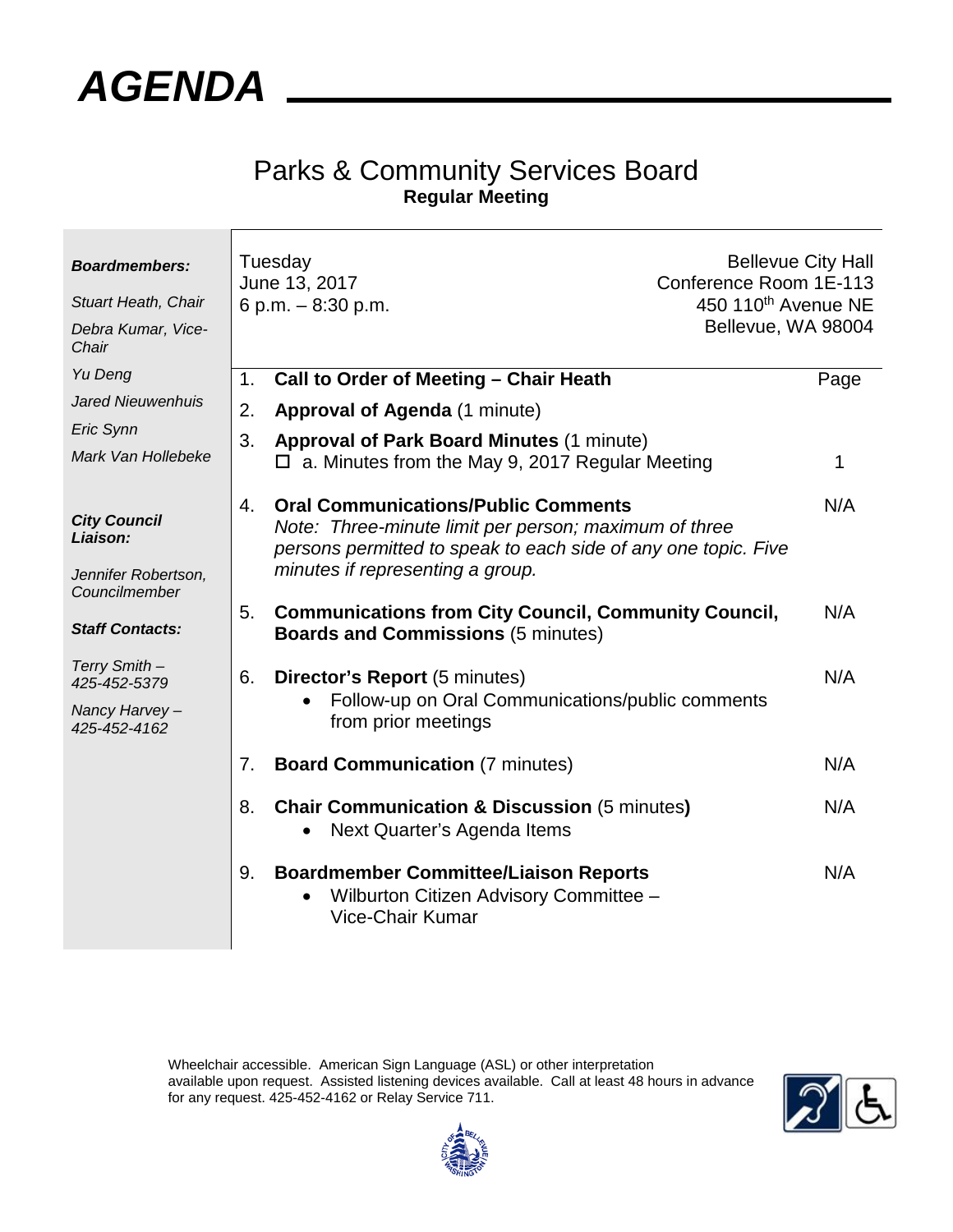

## Parks & Community Services Board **Regular Meeting**

| <b>Boardmembers:</b><br><b>Stuart Heath, Chair</b><br>Debra Kumar, Vice-<br>Chair |    | Tuesday<br>June 13, 2017<br>Conference Room 1E-113<br>450 110 <sup>th</sup> Avenue NE<br>6 p.m. $-8:30$ p.m.<br>Bellevue, WA 98004                                                                        | <b>Bellevue City Hall</b> |
|-----------------------------------------------------------------------------------|----|-----------------------------------------------------------------------------------------------------------------------------------------------------------------------------------------------------------|---------------------------|
| Yu Deng                                                                           | 1. | Call to Order of Meeting - Chair Heath                                                                                                                                                                    | Page                      |
| <b>Jared Nieuwenhuis</b>                                                          | 2. | <b>Approval of Agenda (1 minute)</b>                                                                                                                                                                      |                           |
| Eric Synn                                                                         | 3. | <b>Approval of Park Board Minutes (1 minute)</b>                                                                                                                                                          |                           |
| Mark Van Hollebeke                                                                |    | $\Box$ a. Minutes from the May 9, 2017 Regular Meeting                                                                                                                                                    | 1                         |
| <b>City Council</b><br>Liaison:<br>Jennifer Robertson,<br>Councilmember           | 4. | <b>Oral Communications/Public Comments</b><br>Note: Three-minute limit per person; maximum of three<br>persons permitted to speak to each side of any one topic. Five<br>minutes if representing a group. | N/A                       |
| <b>Staff Contacts:</b>                                                            | 5. | <b>Communications from City Council, Community Council,</b><br><b>Boards and Commissions (5 minutes)</b>                                                                                                  | N/A                       |
| Terry Smith -<br>425-452-5379<br>Nancy Harvey-<br>425-452-4162                    | 6. | <b>Director's Report (5 minutes)</b><br>Follow-up on Oral Communications/public comments<br>from prior meetings                                                                                           | N/A                       |
|                                                                                   | 7. | <b>Board Communication (7 minutes)</b>                                                                                                                                                                    | N/A                       |
|                                                                                   | 8. | <b>Chair Communication &amp; Discussion (5 minutes)</b><br>Next Quarter's Agenda Items                                                                                                                    | N/A                       |
|                                                                                   | 9. | <b>Boardmember Committee/Liaison Reports</b><br>Wilburton Citizen Advisory Committee -<br><b>Vice-Chair Kumar</b>                                                                                         | N/A                       |